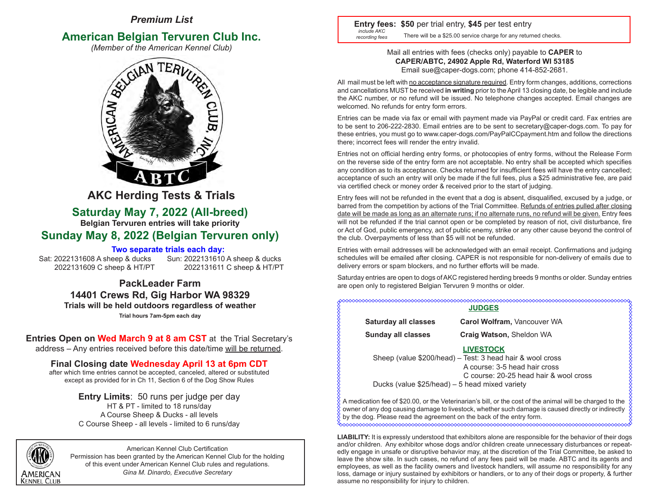# *Premium List*

# **American Belgian Tervuren Club Inc.**<br>(*Member of the American Kennel Club*)



 **AKC Herding Tests & Trials**

# **Saturday May 7, 2022 (All-breed)**

**Belgian Tervuren entries will take priority**

# **Sunday May 8, 2022 (Belgian Tervuren only)**

# **Two separate trials each day:**

Sat: 2022131608 A sheep & ducks Sun: 2022131610 A sheep & ducks 2022131609 C sheep & HT/PT 2022131611 C sheep & HT/PT

# **PackLeader Farm 14401 Crews Rd, Gig Harbor WA 98329 Trials will be held outdoors regardless of weather Trial hours 7am-5pm each day**

**Entries Open on Wed March 9 at 8 am CST** at the Trial Secretary's address – Any entries received before this date/time will be returned.

**Final Closing date Wednesday April 13 at 6pm CDT**

after which time entries cannot be accepted, canceled, altered or substituted except as provided for in Ch 11, Section 6 of the Dog Show Rules

> **Entry Limits**: 50 runs per judge per day HT & PT - limited to 18 runs/day A Course Sheep & Ducks - all levels C Course Sheep - all levels - limited to 6 runs/day



American Kennel Club Certification Permission has been granted by the American Kennel Club for the holding of this event under American Kennel Club rules and regulations. *Gina M. Dinardo, Executive Secretary*

 **Entry fees: \$50** per trial entry, **\$45** per test entry There will be a \$25.00 service charge for any returned checks. *include AKC recording fees*

# Mail all entries with fees (checks only) payable to **CAPER** to **CAPER/ABTC, 24902 Apple Rd, Waterford WI 53185** Email sue@caper-dogs.com; phone 414-852-2681.

All mail must be left with no acceptance signature required. Entry form changes, additions, corrections and cancellations MUST be received **in writing** prior to the April 13 closing date, be legible and include the AKC number, or no refund will be issued. No telephone changes accepted. Email changes are welcomed. No refunds for entry form errors.

Entries can be made via fax or email with payment made via PayPal or credit card. Fax entries are to be sent to 206-222-2830. Email entries are to be sent to secretary@caper-dogs.com. To pay for these entries, you must go to www.caper-dogs.com/PayPalCCpayment.htm and follow the directions there; incorrect fees will render the entry invalid.

Entries not on official herding entry forms, or photocopies of entry forms, without the Release Form on the reverse side of the entry form are not acceptable. No entry shall be accepted which specifies any condition as to its acceptance. Checks returned for insufficient fees will have the entry cancelled; acceptance of such an entry will only be made if the full fees, plus a \$25 administrative fee, are paid via certified check or money order & received prior to the start of judging.

Entry fees will not be refunded in the event that a dog is absent, disqualified, excused by a judge, or barred from the competition by actions of the Trial Committee. Refunds of entries pulled after closing date will be made as long as an alternate runs; if no alternate runs, no refund will be given. Entry fees will not be refunded if the trial cannot open or be completed by reason of riot, civil disturbance, fire or Act of God, public emergency, act of public enemy, strike or any other cause beyond the control of the club. Overpayments of less than \$5 will not be refunded.

Entries with email addresses will be acknowledged with an email receipt. Confirmations and judging schedules will be emailed after closing. CAPER is not responsible for non-delivery of emails due to delivery errors or spam blockers, and no further efforts will be made.

Saturday entries are open to dogs of AKC registered herding breeds 9 months or older. Sunday entries are open only to registered Belgian Tervuren 9 months or older.

# XXXXXXXXXXXXXXXXXXXXXXXXXXXXX **JUDGES Saturday all classes Carol Wolfram,** Vancouver WA

 **Sunday all classes Craig Watson,** Sheldon WA

# **LIVESTOCK**

Sheep (value \$200/head) – Test: 3 head hair & wool cross A course: 3-5 head hair cross C course: 20-25 head hair & wool cross Ducks (value \$25/head) – 5 head mixed variety

A medication fee of \$20.00, or the Veterinarian's bill, or the cost of the animal will be charged to the owner of any dog causing damage to livestock, whether such damage is caused directly or indirectly by the dog. Please read the agreement on the back of the entry form.

**LIABILITY:** It is expressly understood that exhibitors alone are responsible for the behavior of their dogs and/or children. Any exhibitor whose dogs and/or children create unnecessary disturbances or repeatedly engage in unsafe or disruptive behavior may, at the discretion of the Trial Committee, be asked to leave the show site. In such cases, no refund of any fees paid will be made. ABTC and its agents and employees, as well as the facility owners and livestock handlers, will assume no responsibility for any loss, damage or injury sustained by exhibitors or handlers, or to any of their dogs or property, & further assume no responsibility for injury to children.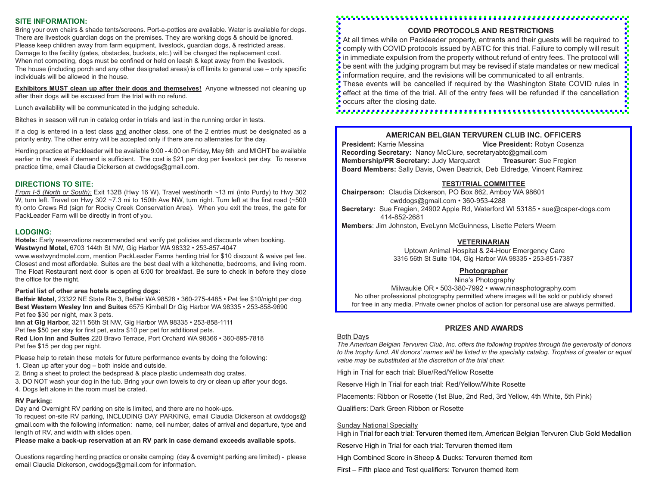# **SITE INFORMATION:**

Bring your own chairs & shade tents/screens. Port-a-potties are available. Water is available for dogs. There are livestock guardian dogs on the premises. They are working dogs & should be ignored. Please keep children away from farm equipment, livestock, guardian dogs, & restricted areas. Damage to the facility (gates, obstacles, buckets, etc.) will be charged the replacement cost. When not competing, dogs must be confined or held on leash & kept away from the livestock. The house (including porch and any other designated areas) is off limits to general use – only specific individuals will be allowed in the house.

**Exhibitors MUST clean up after their dogs and themselves!** Anyone witnessed not cleaning up after their dogs will be excused from the trial with no refund.

Lunch availability will be communicated in the judging schedule.

Bitches in season will run in catalog order in trials and last in the running order in tests.

If a dog is entered in a test class and another class, one of the 2 entries must be designated as a priority entry. The other entry will be accepted only if there are no alternates for the day.

Herding practice at Packleader will be available 9:00 - 4:00 on Friday, May 6th and MIGHT be available earlier in the week if demand is sufficient. The cost is \$21 per dog per livestock per day. To reserve practice time, email Claudia Dickerson at cwddogs@gmail.com.

#### **DIRECTIONS TO SITE:**

*From I-5 (North or South):* Exit 132B (Hwy 16 W). Travel west/north ~13 mi (into Purdy) to Hwy 302 W, turn left. Travel on Hwy 302 ~7.3 mi to 150th Ave NW, turn right. Turn left at the first road (~500 ft) onto Crews Rd (sign for Rocky Creek Conservation Area). When you exit the trees, the gate for PackLeader Farm will be directly in front of you.

#### **LODGING:**

**Hotels:** Early reservations recommended and verify pet policies and discounts when booking. **Westwynd Motel,** 6703 144th St NW, Gig Harbor WA 98332 • 253-857-4047

www.westwyndmotel.com, mention PackLeader Farms herding trial for \$10 discount & waive pet fee. Closest and most affordable. Suites are the best deal with a kitchenette, bedrooms, and living room. The Float Restaurant next door is open at 6:00 for breakfast. Be sure to check in before they close the office for the night.

#### **Partial list of other area hotels accepting dogs:**

**Belfair Motel,** 23322 NE State Rte 3, Belfair WA 98528 • 360-275-4485 • Pet fee \$10/night per dog. **Best Western Wesley Inn and Suites** 6575 Kimball Dr Gig Harbor WA 98335 • 253-858-9690 Pet fee \$30 per night, max 3 pets.

**Inn at Gig Harbor,** 3211 56th St NW, Gig Harbor WA 98335 • 253-858-1111 Pet fee \$50 per stay for first pet, extra \$10 per pet for additional pets. **Red Lion Inn and Suites** 220 Bravo Terrace, Port Orchard WA 98366 • 360-895-7818

Pet fee \$15 per dog per night.

Please help to retain these motels for future performance events by doing the following:

1. Clean up after your dog – both inside and outside.

2. Bring a sheet to protect the bedspread & place plastic underneath dog crates.

3. DO NOT wash your dog in the tub. Bring your own towels to dry or clean up after your dogs. 4. Dogs left alone in the room must be crated.

# **RV Parking:**

Day and Overnight RV parking on site is limited, and there are no hook-ups.

To request on-site RV parking, INCLUDING DAY PARKING, email Claudia Dickerson at cwddogs@ gmail.com with the following information: name, cell number, dates of arrival and departure, type and length of RV, and width with slides open.

# **Please make a back-up reservation at an RV park in case demand exceeds available spots.**

Questions regarding herding practice or onsite camping (day & overnight parking are limited) - please email Claudia Dickerson, cwddogs@gmail.com for information.

# 

# **COVID PROTOCOLS AND RESTRICTIONS**

At all times while on Packleader property, entrants and their guests will be required to comply with COVID protocols issued by ABTC for this trial. Failure to comply will result in immediate expulsion from the property without refund of entry fees. The protocol will be sent with the judging program but may be revised if state mandates or new medical information require, and the revisions will be communicated to all entrants.

These events will be cancelled if required by the Washington State COVID rules in effect at the time of the trial. All of the entry fees will be refunded if the cancellation occurs after the closing date.

# **AMERICAN BELGIAN TERVUREN CLUB INC. OFFICERS**

 **President:** Karrie Messina **Vice President:** Robyn Cosenza **Recording Secretary:** Nancy McClure, secretaryabtc@gmail.com<br>**Membership/PR Secretary:** Judy Marguardt **Treasurer:** Sue Fregien **Membership/PR Secretary: Judy Marquardt Board Members:** Sally Davis, Owen Deatrick, Deb Eldredge, Vincent Ramirez

# **TEST/TRIAL COMMITTEE**

 **Chairperson:** Claudia Dickerson, PO Box 862, Amboy WA 98601 cwddogs@gmail.com • 360-953-4288 **Secretary:** Sue Fregien, 24902 Apple Rd, Waterford WI 53185 • sue@caper-dogs.com 414-852-2681

 **Members**: Jim Johnston, EveLynn McGuinness, Lisette Peters Weem

# **VETERINARIAN**

 Uptown Animal Hospital & 24-Hour Emergency Care 3316 56th St Suite 104, Gig Harbor WA 98335 • 253-851-7387

# **Photographer**

Nina's Photography

Milwaukie OR • 503-380-7992 • www.ninasphotography.com No other professional photography permitted where images will be sold or publicly shared for free in any media. Private owner photos of action for personal use are always permitted.

# **PRIZES AND AWARDS**

#### Both Days

*The American Belgian Tervuren Club, Inc. offers the following trophies through the generosity of donors to the trophy fund. All donors' names will be listed in the specialty catalog. Trophies of greater or equal value may be substituted at the discretion of the trial chair.*

High in Trial for each trial: Blue/Red/Yellow Rosette

Reserve High In Trial for each trial: Red/Yellow/White Rosette

Placements: Ribbon or Rosette (1st Blue, 2nd Red, 3rd Yellow, 4th White, 5th Pink)

Qualifiers: Dark Green Ribbon or Rosette

#### Sunday National Specialty

High in Trial for each trial: Tervuren themed item, American Belgian Tervuren Club Gold Medallion

Reserve High in Trial for each trial: Tervuren themed item

High Combined Score in Sheep & Ducks: Tervuren themed item

First – Fifth place and Test qualifiers: Tervuren themed item